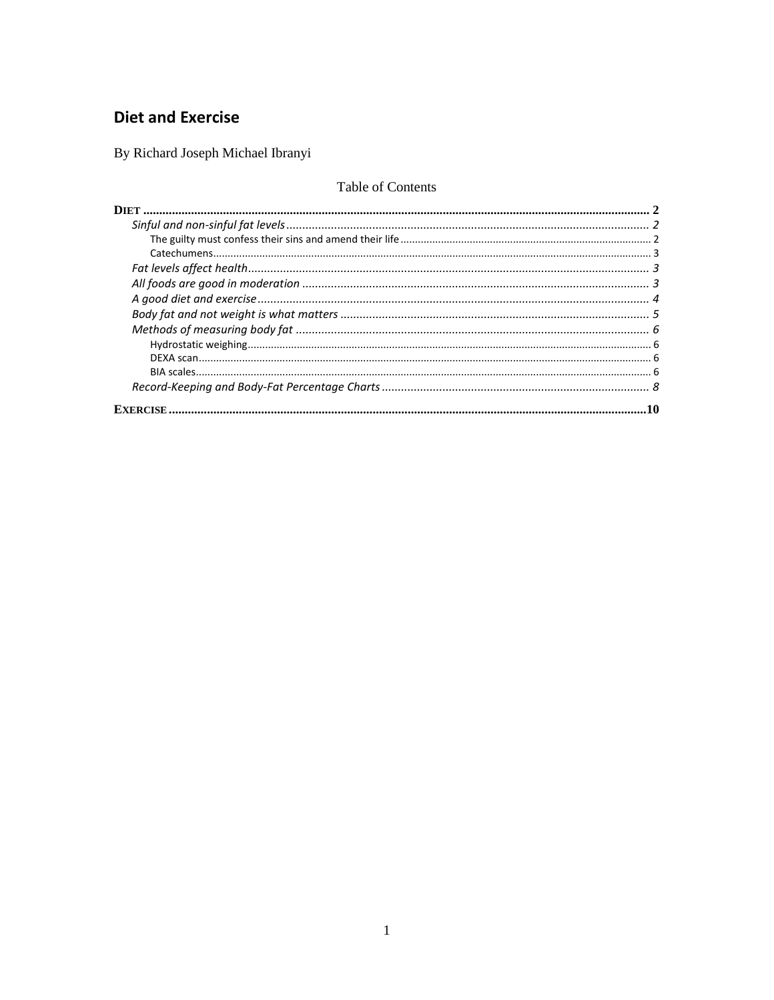# **Diet and Exercise**

By Richard Joseph Michael Ibranyi

## Table of Contents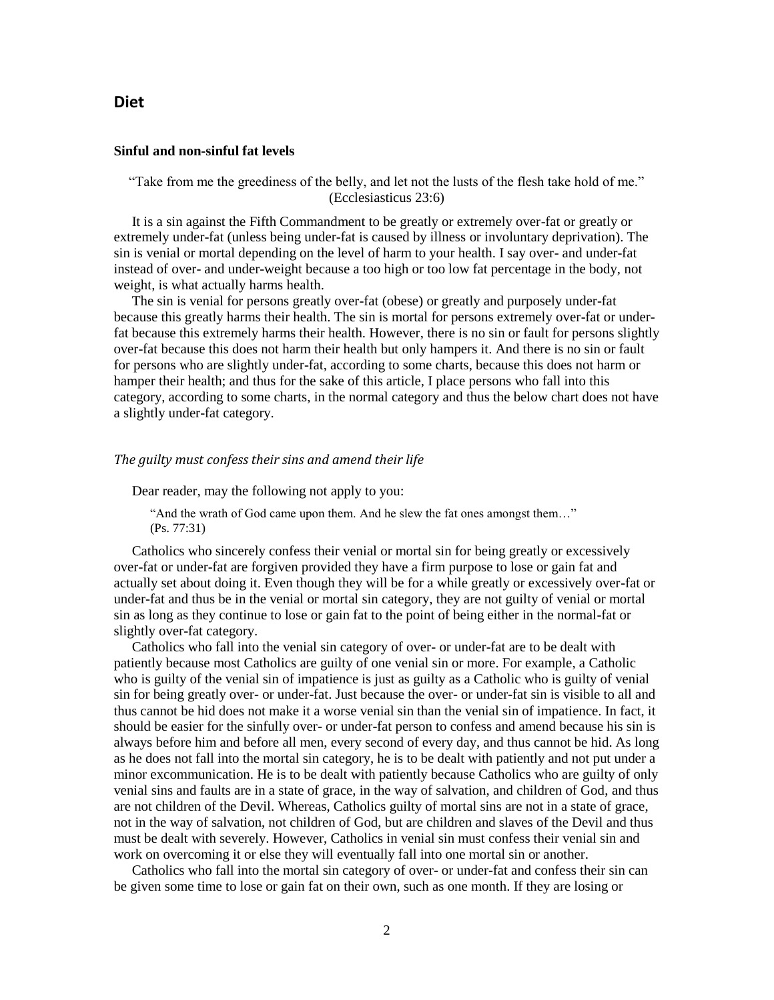### <span id="page-1-0"></span>**Diet**

#### <span id="page-1-1"></span>**Sinful and non-sinful fat levels**

"Take from me the greediness of the belly, and let not the lusts of the flesh take hold of me." (Ecclesiasticus 23:6)

It is a sin against the Fifth Commandment to be greatly or extremely over-fat or greatly or extremely under-fat (unless being under-fat is caused by illness or involuntary deprivation). The sin is venial or mortal depending on the level of harm to your health. I say over- and under-fat instead of over- and under-weight because a too high or too low fat percentage in the body, not weight, is what actually harms health.

The sin is venial for persons greatly over-fat (obese) or greatly and purposely under-fat because this greatly harms their health. The sin is mortal for persons extremely over-fat or underfat because this extremely harms their health. However, there is no sin or fault for persons slightly over-fat because this does not harm their health but only hampers it. And there is no sin or fault for persons who are slightly under-fat, according to some charts, because this does not harm or hamper their health; and thus for the sake of this article, I place persons who fall into this category, according to some charts, in the normal category and thus the below chart does not have a slightly under-fat category.

#### <span id="page-1-2"></span>*The guilty must confess their sins and amend their life*

Dear reader, may the following not apply to you:

"And the wrath of God came upon them. And he slew the fat ones amongst them…" (Ps. 77:31)

Catholics who sincerely confess their venial or mortal sin for being greatly or excessively over-fat or under-fat are forgiven provided they have a firm purpose to lose or gain fat and actually set about doing it. Even though they will be for a while greatly or excessively over-fat or under-fat and thus be in the venial or mortal sin category, they are not guilty of venial or mortal sin as long as they continue to lose or gain fat to the point of being either in the normal-fat or slightly over-fat category.

Catholics who fall into the venial sin category of over- or under-fat are to be dealt with patiently because most Catholics are guilty of one venial sin or more. For example, a Catholic who is guilty of the venial sin of impatience is just as guilty as a Catholic who is guilty of venial sin for being greatly over- or under-fat. Just because the over- or under-fat sin is visible to all and thus cannot be hid does not make it a worse venial sin than the venial sin of impatience. In fact, it should be easier for the sinfully over- or under-fat person to confess and amend because his sin is always before him and before all men, every second of every day, and thus cannot be hid. As long as he does not fall into the mortal sin category, he is to be dealt with patiently and not put under a minor excommunication. He is to be dealt with patiently because Catholics who are guilty of only venial sins and faults are in a state of grace, in the way of salvation, and children of God, and thus are not children of the Devil. Whereas, Catholics guilty of mortal sins are not in a state of grace, not in the way of salvation, not children of God, but are children and slaves of the Devil and thus must be dealt with severely. However, Catholics in venial sin must confess their venial sin and work on overcoming it or else they will eventually fall into one mortal sin or another.

Catholics who fall into the mortal sin category of over- or under-fat and confess their sin can be given some time to lose or gain fat on their own, such as one month. If they are losing or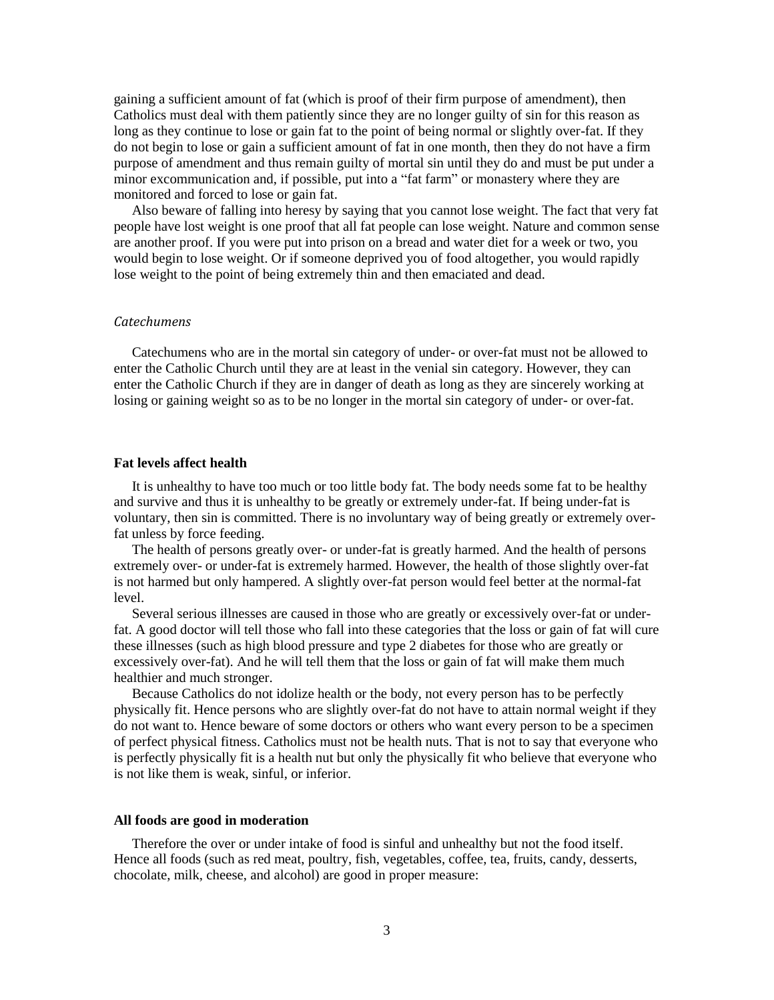gaining a sufficient amount of fat (which is proof of their firm purpose of amendment), then Catholics must deal with them patiently since they are no longer guilty of sin for this reason as long as they continue to lose or gain fat to the point of being normal or slightly over-fat. If they do not begin to lose or gain a sufficient amount of fat in one month, then they do not have a firm purpose of amendment and thus remain guilty of mortal sin until they do and must be put under a minor excommunication and, if possible, put into a "fat farm" or monastery where they are monitored and forced to lose or gain fat.

Also beware of falling into heresy by saying that you cannot lose weight. The fact that very fat people have lost weight is one proof that all fat people can lose weight. Nature and common sense are another proof. If you were put into prison on a bread and water diet for a week or two, you would begin to lose weight. Or if someone deprived you of food altogether, you would rapidly lose weight to the point of being extremely thin and then emaciated and dead.

### <span id="page-2-0"></span>*Catechumens*

Catechumens who are in the mortal sin category of under- or over-fat must not be allowed to enter the Catholic Church until they are at least in the venial sin category. However, they can enter the Catholic Church if they are in danger of death as long as they are sincerely working at losing or gaining weight so as to be no longer in the mortal sin category of under- or over-fat.

#### <span id="page-2-1"></span>**Fat levels affect health**

It is unhealthy to have too much or too little body fat. The body needs some fat to be healthy and survive and thus it is unhealthy to be greatly or extremely under-fat. If being under-fat is voluntary, then sin is committed. There is no involuntary way of being greatly or extremely overfat unless by force feeding.

The health of persons greatly over- or under-fat is greatly harmed. And the health of persons extremely over- or under-fat is extremely harmed. However, the health of those slightly over-fat is not harmed but only hampered. A slightly over-fat person would feel better at the normal-fat level.

Several serious illnesses are caused in those who are greatly or excessively over-fat or underfat. A good doctor will tell those who fall into these categories that the loss or gain of fat will cure these illnesses (such as high blood pressure and type 2 diabetes for those who are greatly or excessively over-fat). And he will tell them that the loss or gain of fat will make them much healthier and much stronger.

Because Catholics do not idolize health or the body, not every person has to be perfectly physically fit. Hence persons who are slightly over-fat do not have to attain normal weight if they do not want to. Hence beware of some doctors or others who want every person to be a specimen of perfect physical fitness. Catholics must not be health nuts. That is not to say that everyone who is perfectly physically fit is a health nut but only the physically fit who believe that everyone who is not like them is weak, sinful, or inferior.

#### <span id="page-2-2"></span>**All foods are good in moderation**

Therefore the over or under intake of food is sinful and unhealthy but not the food itself. Hence all foods (such as red meat, poultry, fish, vegetables, coffee, tea, fruits, candy, desserts, chocolate, milk, cheese, and alcohol) are good in proper measure: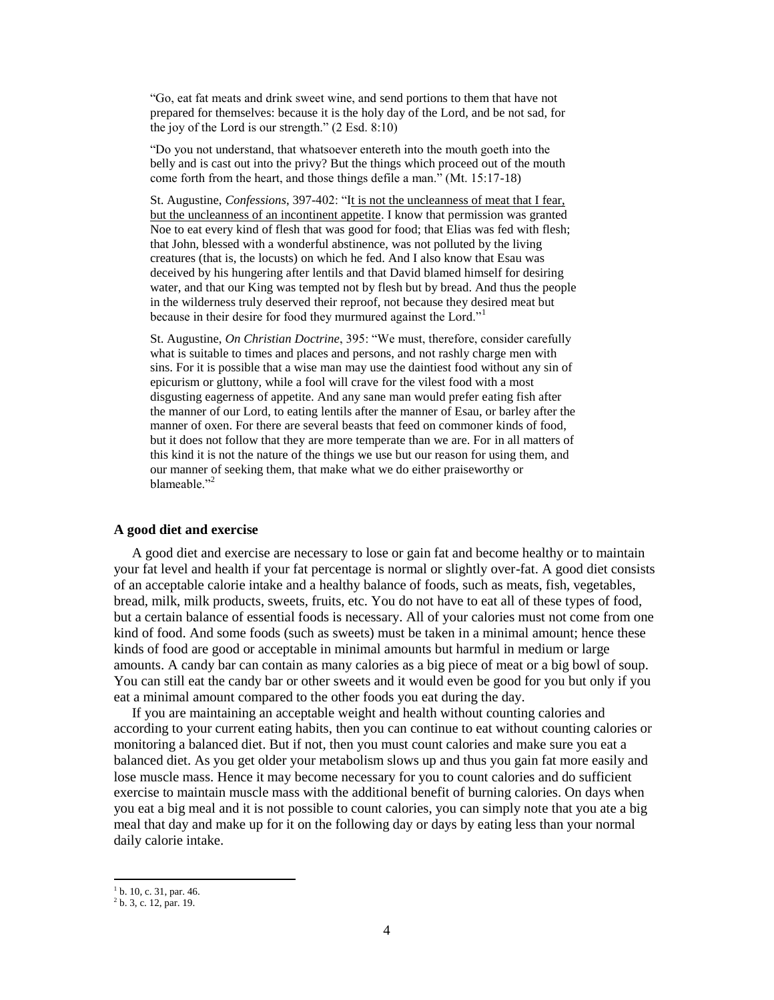"Go, eat fat meats and drink sweet wine, and send portions to them that have not prepared for themselves: because it is the holy day of the Lord, and be not sad, for the joy of the Lord is our strength." (2 Esd. 8:10)

"Do you not understand, that whatsoever entereth into the mouth goeth into the belly and is cast out into the privy? But the things which proceed out of the mouth come forth from the heart, and those things defile a man." (Mt. 15:17-18)

St. Augustine, *Confessions*, 397-402: "It is not the uncleanness of meat that I fear, but the uncleanness of an incontinent appetite. I know that permission was granted Noe to eat every kind of flesh that was good for food; that Elias was fed with flesh; that John, blessed with a wonderful abstinence, was not polluted by the living creatures (that is, the locusts) on which he fed. And I also know that Esau was deceived by his hungering after lentils and that David blamed himself for desiring water, and that our King was tempted not by flesh but by bread. And thus the people in the wilderness truly deserved their reproof, not because they desired meat but because in their desire for food they murmured against the Lord."<sup>1</sup>

St. Augustine, *On Christian Doctrine*, 395: "We must, therefore, consider carefully what is suitable to times and places and persons, and not rashly charge men with sins. For it is possible that a wise man may use the daintiest food without any sin of epicurism or gluttony, while a fool will crave for the vilest food with a most disgusting eagerness of appetite. And any sane man would prefer eating fish after the manner of our Lord, to eating lentils after the manner of Esau, or barley after the manner of oxen. For there are several beasts that feed on commoner kinds of food, but it does not follow that they are more temperate than we are. For in all matters of this kind it is not the nature of the things we use but our reason for using them, and our manner of seeking them, that make what we do either praiseworthy or blameable."<sup>2</sup>

#### <span id="page-3-0"></span>**A good diet and exercise**

A good diet and exercise are necessary to lose or gain fat and become healthy or to maintain your fat level and health if your fat percentage is normal or slightly over-fat. A good diet consists of an acceptable calorie intake and a healthy balance of foods, such as meats, fish, vegetables, bread, milk, milk products, sweets, fruits, etc. You do not have to eat all of these types of food, but a certain balance of essential foods is necessary. All of your calories must not come from one kind of food. And some foods (such as sweets) must be taken in a minimal amount; hence these kinds of food are good or acceptable in minimal amounts but harmful in medium or large amounts. A candy bar can contain as many calories as a big piece of meat or a big bowl of soup. You can still eat the candy bar or other sweets and it would even be good for you but only if you eat a minimal amount compared to the other foods you eat during the day.

If you are maintaining an acceptable weight and health without counting calories and according to your current eating habits, then you can continue to eat without counting calories or monitoring a balanced diet. But if not, then you must count calories and make sure you eat a balanced diet. As you get older your metabolism slows up and thus you gain fat more easily and lose muscle mass. Hence it may become necessary for you to count calories and do sufficient exercise to maintain muscle mass with the additional benefit of burning calories. On days when you eat a big meal and it is not possible to count calories, you can simply note that you ate a big meal that day and make up for it on the following day or days by eating less than your normal daily calorie intake.

l

 $<sup>1</sup>$  b. 10, c. 31, par. 46.</sup>

 $2^2$  b. 3, c. 12, par. 19.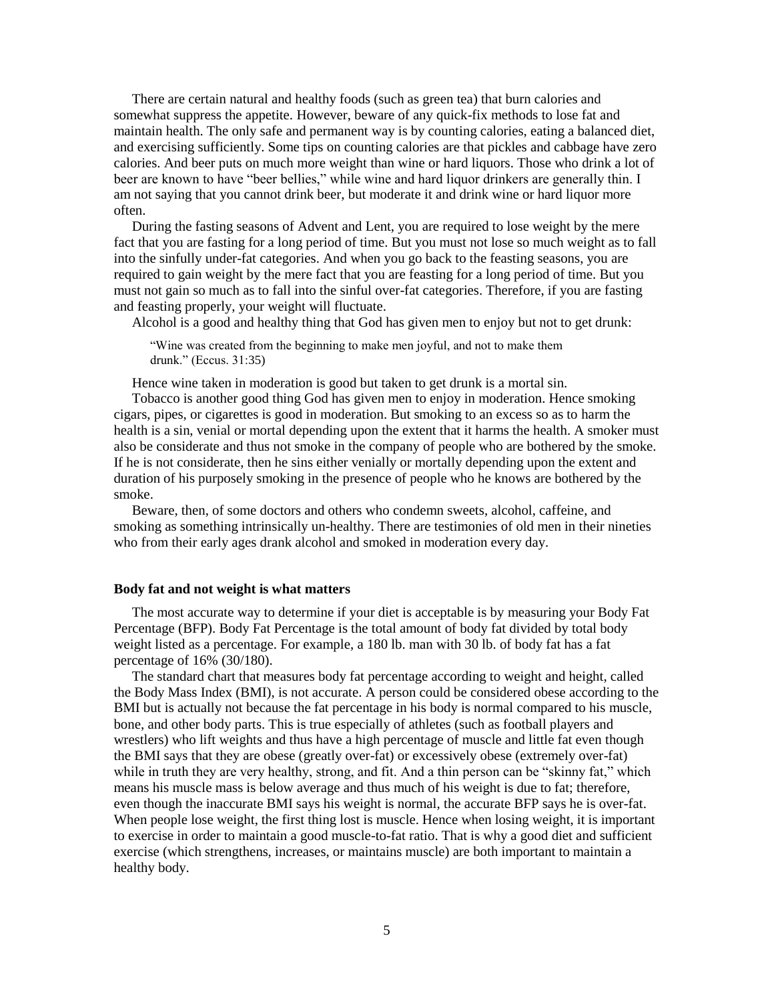There are certain natural and healthy foods (such as green tea) that burn calories and somewhat suppress the appetite. However, beware of any quick-fix methods to lose fat and maintain health. The only safe and permanent way is by counting calories, eating a balanced diet, and exercising sufficiently. Some tips on counting calories are that pickles and cabbage have zero calories. And beer puts on much more weight than wine or hard liquors. Those who drink a lot of beer are known to have "beer bellies," while wine and hard liquor drinkers are generally thin. I am not saying that you cannot drink beer, but moderate it and drink wine or hard liquor more often.

During the fasting seasons of Advent and Lent, you are required to lose weight by the mere fact that you are fasting for a long period of time. But you must not lose so much weight as to fall into the sinfully under-fat categories. And when you go back to the feasting seasons, you are required to gain weight by the mere fact that you are feasting for a long period of time. But you must not gain so much as to fall into the sinful over-fat categories. Therefore, if you are fasting and feasting properly, your weight will fluctuate.

Alcohol is a good and healthy thing that God has given men to enjoy but not to get drunk:

"Wine was created from the beginning to make men joyful, and not to make them drunk." (Eccus. 31:35)

Hence wine taken in moderation is good but taken to get drunk is a mortal sin.

Tobacco is another good thing God has given men to enjoy in moderation. Hence smoking cigars, pipes, or cigarettes is good in moderation. But smoking to an excess so as to harm the health is a sin, venial or mortal depending upon the extent that it harms the health. A smoker must also be considerate and thus not smoke in the company of people who are bothered by the smoke. If he is not considerate, then he sins either venially or mortally depending upon the extent and duration of his purposely smoking in the presence of people who he knows are bothered by the smoke.

Beware, then, of some doctors and others who condemn sweets, alcohol, caffeine, and smoking as something intrinsically un-healthy. There are testimonies of old men in their nineties who from their early ages drank alcohol and smoked in moderation every day.

#### <span id="page-4-0"></span>**Body fat and not weight is what matters**

The most accurate way to determine if your diet is acceptable is by measuring your Body Fat Percentage (BFP). Body Fat Percentage is the total amount of body fat divided by total body weight listed as a percentage. For example, a 180 lb. man with 30 lb. of body fat has a fat percentage of 16% (30/180).

The standard chart that measures body fat percentage according to weight and height, called the Body Mass Index (BMI), is not accurate. A person could be considered obese according to the BMI but is actually not because the fat percentage in his body is normal compared to his muscle, bone, and other body parts. This is true especially of athletes (such as football players and wrestlers) who lift weights and thus have a high percentage of muscle and little fat even though the BMI says that they are obese (greatly over-fat) or excessively obese (extremely over-fat) while in truth they are very healthy, strong, and fit. And a thin person can be "skinny fat," which means his muscle mass is below average and thus much of his weight is due to fat; therefore, even though the inaccurate BMI says his weight is normal, the accurate BFP says he is over-fat. When people lose weight, the first thing lost is muscle. Hence when losing weight, it is important to exercise in order to maintain a good muscle-to-fat ratio. That is why a good diet and sufficient exercise (which strengthens, increases, or maintains muscle) are both important to maintain a healthy body.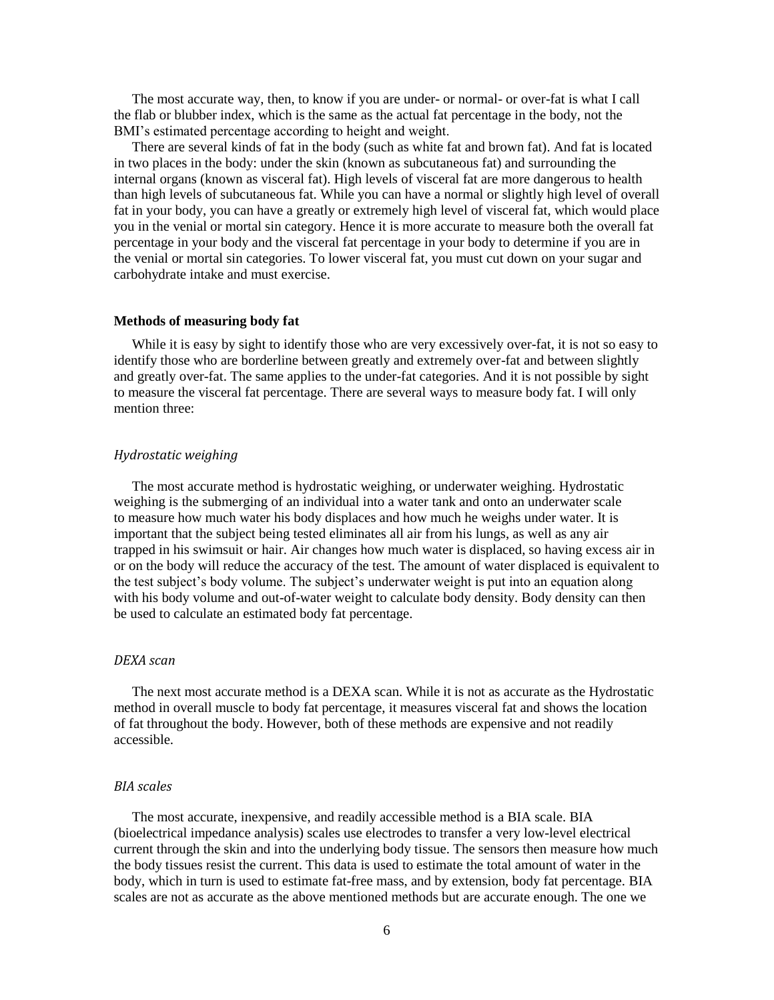The most accurate way, then, to know if you are under- or normal- or over-fat is what I call the flab or blubber index, which is the same as the actual fat percentage in the body, not the BMI's estimated percentage according to height and weight.

There are several kinds of fat in the body (such as white fat and brown fat). And fat is located in two places in the body: under the skin (known as subcutaneous fat) and surrounding the internal organs (known as visceral fat). High levels of visceral fat are more dangerous to health than high levels of subcutaneous fat. While you can have a normal or slightly high level of overall fat in your body, you can have a greatly or extremely high level of visceral fat, which would place you in the venial or mortal sin category. Hence it is more accurate to measure both the overall fat percentage in your body and the visceral fat percentage in your body to determine if you are in the venial or mortal sin categories. To lower visceral fat, you must cut down on your sugar and carbohydrate intake and must exercise.

### <span id="page-5-0"></span>**Methods of measuring body fat**

While it is easy by sight to identify those who are very excessively over-fat, it is not so easy to identify those who are borderline between greatly and extremely over-fat and between slightly and greatly over-fat. The same applies to the under-fat categories. And it is not possible by sight to measure the visceral fat percentage. There are several ways to measure body fat. I will only mention three:

#### <span id="page-5-1"></span>*Hydrostatic weighing*

The most accurate method is hydrostatic weighing, or underwater weighing. Hydrostatic weighing is the submerging of an individual into a water tank and onto an underwater scale to measure how much water his body displaces and how much he weighs under water. It is important that the subject being tested eliminates all air from his lungs, as well as any air trapped in his swimsuit or hair. Air changes how much water is displaced, so having excess air in or on the body will reduce the accuracy of the test. The amount of water displaced is equivalent to the test subject's body volume. The subject's underwater weight is put into an equation along with his body volume and out-of-water weight to calculate body density. Body density can then be used to calculate an estimated body fat percentage.

#### <span id="page-5-2"></span>*DEXA scan*

The next most accurate method is a DEXA scan. While it is not as accurate as the Hydrostatic method in overall muscle to body fat percentage, it measures visceral fat and shows the location of fat throughout the body. However, both of these methods are expensive and not readily accessible.

#### <span id="page-5-3"></span>*BIA scales*

The most accurate, inexpensive, and readily accessible method is a BIA scale. BIA (bioelectrical impedance analysis) scales use electrodes to transfer a very low-level electrical current through the skin and into the underlying body tissue. The sensors then measure how much the body tissues resist the current. This data is used to estimate the total amount of water in the body, which in turn is used to estimate fat-free mass, and by extension, body fat percentage. BIA scales are not as accurate as the above mentioned methods but are accurate enough. The one we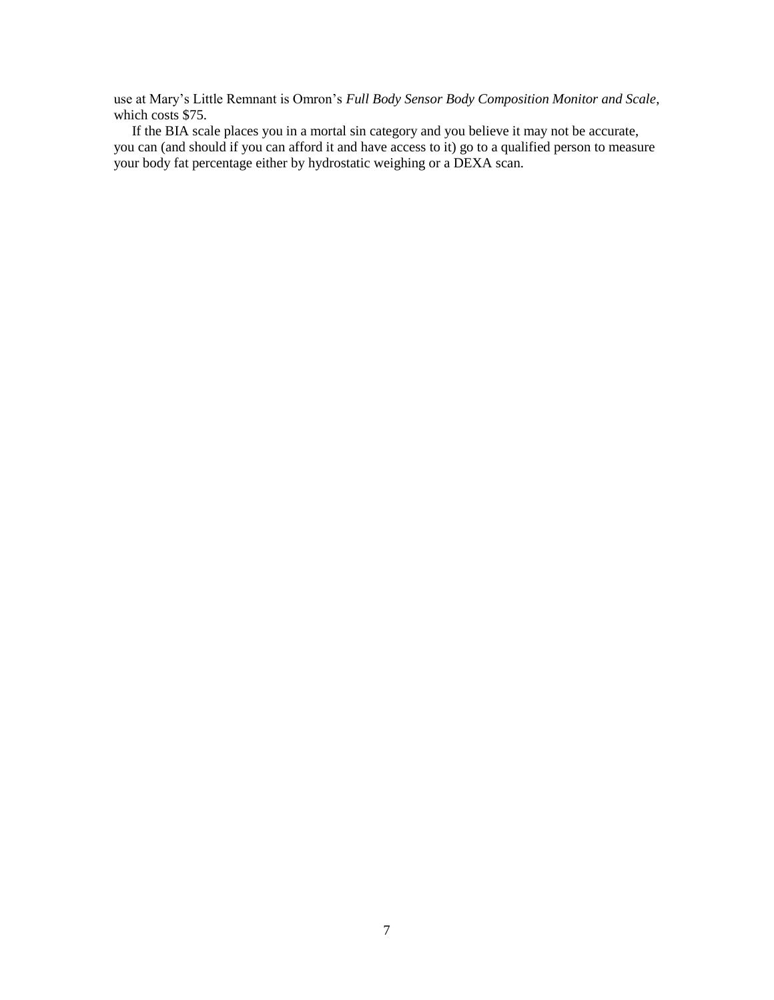use at Mary's Little Remnant is Omron's *Full Body Sensor Body Composition Monitor and Scale*, which costs \$75.

If the BIA scale places you in a mortal sin category and you believe it may not be accurate, you can (and should if you can afford it and have access to it) go to a qualified person to measure your body fat percentage either by hydrostatic weighing or a DEXA scan.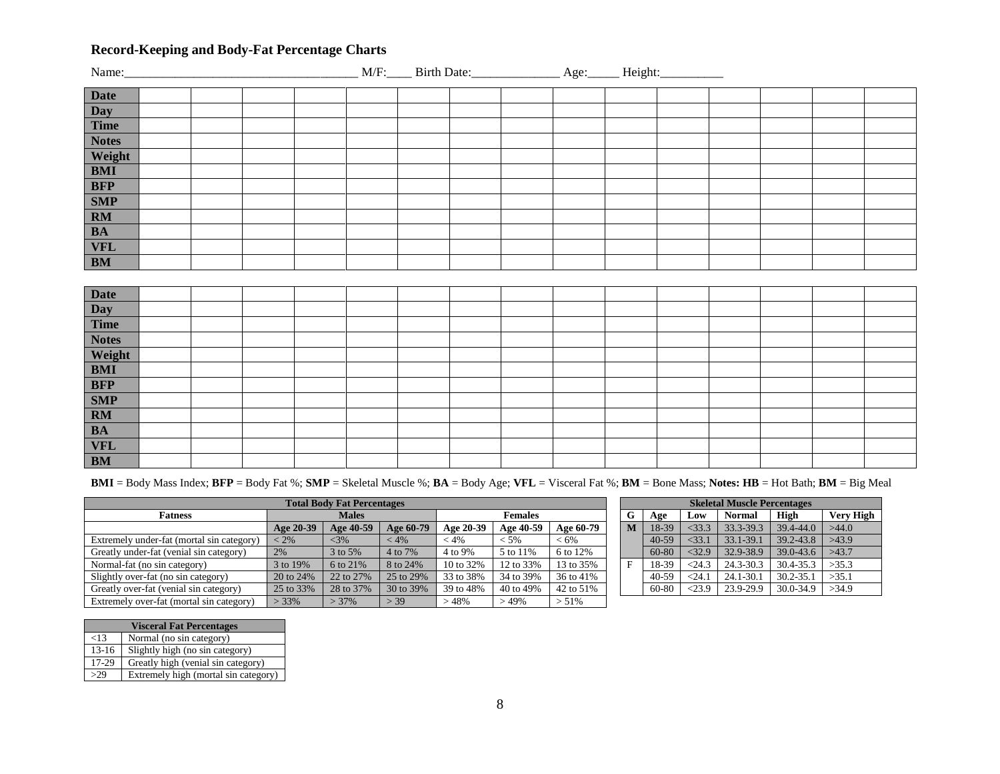## **Record-Keeping and Body-Fat Percentage Charts**

<span id="page-7-0"></span>

| <b>Date</b>    |  |  |  |  |  |  |
|----------------|--|--|--|--|--|--|
| <b>Day</b>     |  |  |  |  |  |  |
| <b>Time</b>    |  |  |  |  |  |  |
| <b>Notes</b>   |  |  |  |  |  |  |
| Weight         |  |  |  |  |  |  |
| $\mathbf{BMI}$ |  |  |  |  |  |  |
| <b>BFP</b>     |  |  |  |  |  |  |
| <b>SMP</b>     |  |  |  |  |  |  |
| RM             |  |  |  |  |  |  |
| <b>BA</b>      |  |  |  |  |  |  |
| <b>VFL</b>     |  |  |  |  |  |  |
| BM             |  |  |  |  |  |  |
|                |  |  |  |  |  |  |
| <b>Date</b>    |  |  |  |  |  |  |
| Day            |  |  |  |  |  |  |
| <b>Time</b>    |  |  |  |  |  |  |
| <b>Notes</b>   |  |  |  |  |  |  |
| Weight         |  |  |  |  |  |  |
| <b>BMI</b>     |  |  |  |  |  |  |
| <b>BFP</b>     |  |  |  |  |  |  |
| <b>SMP</b>     |  |  |  |  |  |  |
| $\mathbf{RM}$  |  |  |  |  |  |  |
| $\mathbf{BA}$  |  |  |  |  |  |  |
| <b>VFL</b>     |  |  |  |  |  |  |
| <b>BM</b>      |  |  |  |  |  |  |

**BMI** = Body Mass Index; **BFP** = Body Fat %; **SMP** = Skeletal Muscle %; **BA** = Body Age; **VFL** = Visceral Fat %; **BM** = Bone Mass; **Notes: HB** = Hot Bath; **BM** = Big Meal

| <b>Total Body Fat Percentages</b>         |              |           |           |                |           |           | <b>Skeletal Muscle Percentages</b> |           |          |               |           |                  |
|-------------------------------------------|--------------|-----------|-----------|----------------|-----------|-----------|------------------------------------|-----------|----------|---------------|-----------|------------------|
| <b>Fatness</b>                            | <b>Males</b> |           |           | <b>Females</b> |           |           | G                                  | Age       | Low      | <b>Normal</b> | High      | <b>Very High</b> |
|                                           | Age 20-39    | Age 40-59 | Age 60-79 | Age 20-39      | Age 40-59 | Age 60-79 | $\mathbf{M}$                       | 18-39     | $<$ 33.3 | 33.3-39.3     | 39.4-44.0 | >44.0            |
| Extremely under-fat (mortal sin category) | $\leq 2\%$   | $<$ 3%    | $< 4\%$   | $< 4\%$        | $< 5\%$   | $< 6\%$   |                                    | $40 - 59$ | $<$ 33.1 | $33.1 - 39.$  | 39.2-43.8 | >43.9            |
| Greatly under-fat (venial sin category)   | 2%           | 3 to 5%   | 4 to 7%   | 4 to 9%        | 5 to 11\% | 6 to 12%  |                                    | 60-80     | $<$ 32.9 | 32.9-38.9     | 39.0-43.6 | >43.7            |
| Normal-fat (no sin category)              | 3 to 19%     | 6 to 21%  | 8 to 24%  | 10 to 32%      | 12 to 33% | 13 to 35% |                                    | 18-39     | < 24.3   | 24.3-30.3     | 30.4-35.3 | >35.3            |
| Slightly over-fat (no sin category)       | 20 to 24%    | 22 to 27% | 25 to 29% | 33 to 38%      | 34 to 39% | 36 to 41% |                                    | $40 - 59$ | $<$ 24.1 | $24.1 - 30.1$ | 30.2-35.1 | >35.1            |
| Greatly over-fat (venial sin category)    | 25 to 33%    | 28 to 37% | 30 to 39% | 39 to 48%      | 40 to 49% | 42 to 51% |                                    | 60-80     | < 23.9   | 23.9-29.9     | 30.0-34.9 | >34.9            |
| Extremely over-fat (mortal sin category)  | $> 33\%$     | $>37\%$   | $-39$     | $-48%$         | >49%      | $> 51\%$  |                                    |           |          |               |           |                  |

| <b>Skeletal Muscle Percentages</b> |           |          |               |           |                  |  |  |  |  |  |
|------------------------------------|-----------|----------|---------------|-----------|------------------|--|--|--|--|--|
| G                                  | Age       | Low      | <b>Normal</b> | High      | <b>Very High</b> |  |  |  |  |  |
| M                                  | 18-39     | $<$ 33.3 | 33.3-39.3     | 39.4-44.0 | >44.0            |  |  |  |  |  |
|                                    | $40 - 59$ | $<$ 33.1 | 33.1-39.1     | 39.2-43.8 | >43.9            |  |  |  |  |  |
|                                    | 60-80     | < 32.9   | 32.9-38.9     | 39.0-43.6 | >43.7            |  |  |  |  |  |
| F                                  | 18-39     | < 24.3   | 24.3-30.3     | 30.4-35.3 | >35.3            |  |  |  |  |  |
|                                    | 40-59     | < 24.1   | 24.1-30.1     | 30.2-35.1 | >35.1            |  |  |  |  |  |
|                                    | 60-80     | < 23.9   | 23.9-29.9     | 30.0-34.9 | >34.9            |  |  |  |  |  |

|         | <b>Visceral Fat Percentages</b>      |
|---------|--------------------------------------|
| ${<}13$ | Normal (no sin category)             |
| $13-16$ | Slightly high (no sin category)      |
| 17-29   | Greatly high (venial sin category)   |
| >29     | Extremely high (mortal sin category) |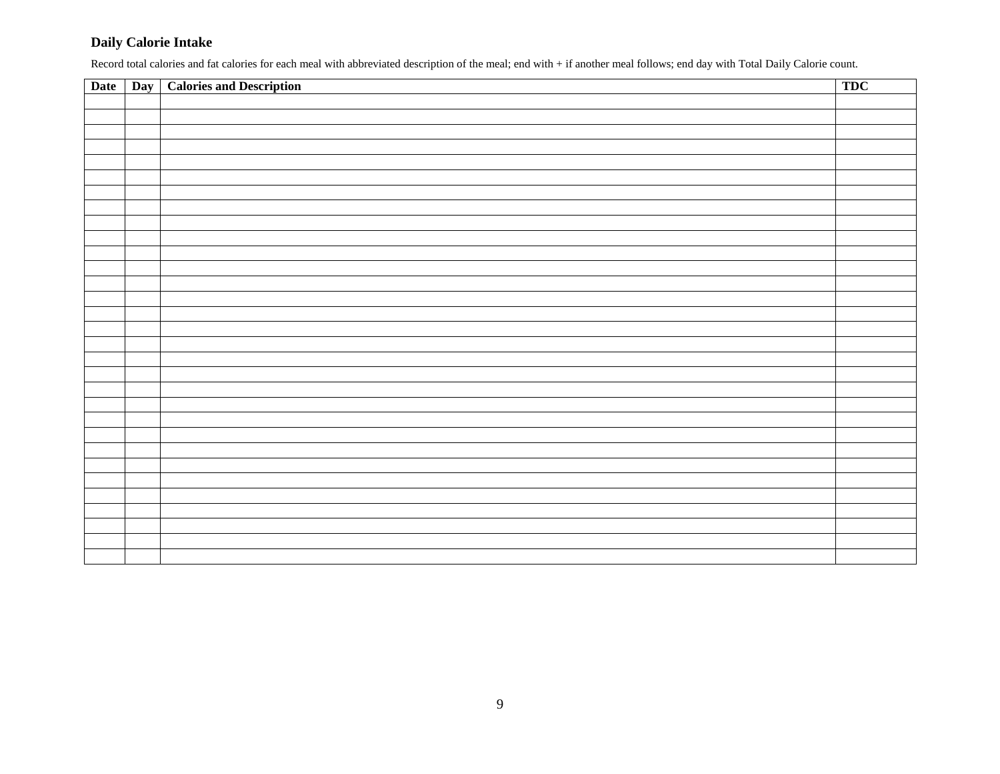## **Daily Calorie Intake**

Record total calories and fat calories for each meal with abbreviated description of the meal; end with + if another meal follows; end day with Total Daily Calorie count.

| Date | Day   Calories and Description | <b>TDC</b> |
|------|--------------------------------|------------|
|      |                                |            |
|      |                                |            |
|      |                                |            |
|      |                                |            |
|      |                                |            |
|      |                                |            |
|      |                                |            |
|      |                                |            |
|      |                                |            |
|      |                                |            |
|      |                                |            |
|      |                                |            |
|      |                                |            |
|      |                                |            |
|      |                                |            |
|      |                                |            |
|      |                                |            |
|      |                                |            |
|      |                                |            |
|      |                                |            |
|      |                                |            |
|      |                                |            |
|      |                                |            |
|      |                                |            |
|      |                                |            |
|      |                                |            |
|      |                                |            |
|      |                                |            |
|      |                                |            |
|      |                                |            |
|      |                                |            |